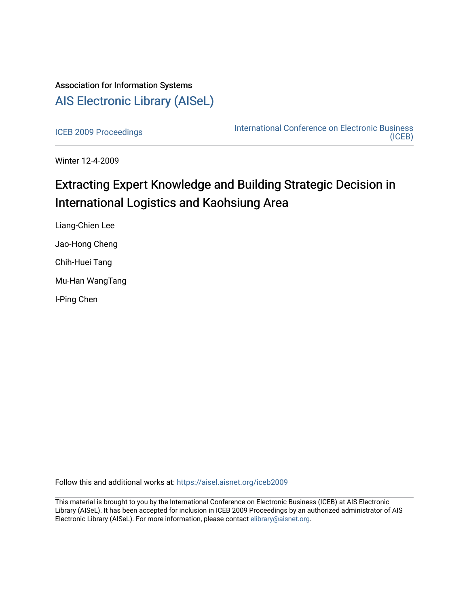## Association for Information Systems [AIS Electronic Library \(AISeL\)](https://aisel.aisnet.org/)

[ICEB 2009 Proceedings](https://aisel.aisnet.org/iceb2009) **International Conference on Electronic Business** [\(ICEB\)](https://aisel.aisnet.org/iceb) 

Winter 12-4-2009

# Extracting Expert Knowledge and Building Strategic Decision in International Logistics and Kaohsiung Area

Liang-Chien Lee Jao-Hong Cheng Chih-Huei Tang Mu-Han WangTang I-Ping Chen

Follow this and additional works at: [https://aisel.aisnet.org/iceb2009](https://aisel.aisnet.org/iceb2009?utm_source=aisel.aisnet.org%2Ficeb2009%2F76&utm_medium=PDF&utm_campaign=PDFCoverPages)

This material is brought to you by the International Conference on Electronic Business (ICEB) at AIS Electronic Library (AISeL). It has been accepted for inclusion in ICEB 2009 Proceedings by an authorized administrator of AIS Electronic Library (AISeL). For more information, please contact [elibrary@aisnet.org.](mailto:elibrary@aisnet.org%3E)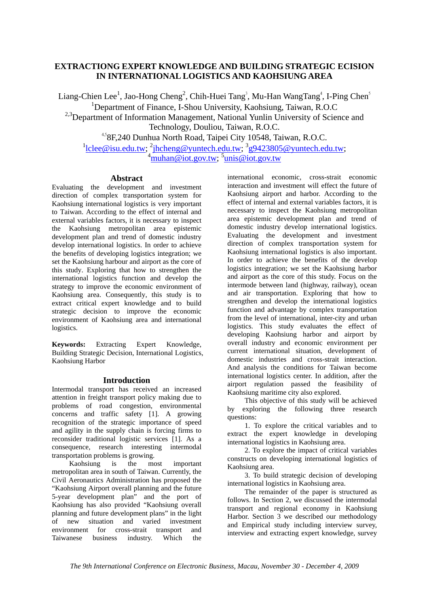## **EXTRACTIONG EXPERT KNOWLEDGE AND BUILDING STRATEGIC ECISION IN INTERNATIONAL LOGISTICS AND KAOHSIUNG AREA**

Liang-Chien Lee<sup>1</sup>, Jao-Hong Cheng<sup>2</sup>, Chih-Huei Tang<sup>3</sup>, Mu-Han WangTang<sup>4</sup>, I-Ping Chen<sup>5</sup> <sup>1</sup>Department of Finance, I-Shou University, Kaohsiung, Taiwan, R.O.C <sup>2,3</sup>Department of Information Management, National Yunlin University of Science and Technology, Douliou, Taiwan, R.O.C.

4,58F,240 Dunhua North Road, Taipei City 10548, Taiwan, R.O.C. <sup>1</sup>lclee@isu.edu.tw; <sup>2</sup>jhcheng@yuntech.edu.tw; <sup>3</sup>g9423805@yuntech.edu.tw; <sup>4</sup>muhan@iot.gov.tw; <sup>5</sup>unis@iot.gov.tw

### **Abstract**

Evaluating the development and investment direction of complex transportation system for Kaohsiung international logistics is very important to Taiwan. According to the effect of internal and external variables factors, it is necessary to inspect the Kaohsiung metropolitan area epistemic development plan and trend of domestic industry develop international logistics. In order to achieve the benefits of developing logistics integration; we set the Kaohsiung harbour and airport as the core of this study. Exploring that how to strengthen the international logistics function and develop the strategy to improve the economic environment of Kaohsiung area. Consequently, this study is to extract critical expert knowledge and to build strategic decision to improve the economic environment of Kaohsiung area and international logistics.

**Keywords:** Extracting Expert Knowledge, Building Strategic Decision, International Logistics, Kaohsiung Harbor

## **Introduction**

Intermodal transport has received an increased attention in freight transport policy making due to problems of road congestion, environmental concerns and traffic safety [1]. A growing recognition of the strategic importance of speed and agility in the supply chain is forcing firms to reconsider traditional logistic services [1]. As a consequence, research interesting intermodal transportation problems is growing.

Kaohsiung is the most important metropolitan area in south of Taiwan. Currently, the Civil Aeronautics Administration has proposed the "Kaohsiung Airport overall planning and the future 5-year development plan" and the port of Kaohsiung has also provided "Kaohsiung overall planning and future development plans" in the light<br>of new situation and varied investment of new situation and varied investment environment for cross-strait transport and Taiwanese business industry. Which the

international economic, cross-strait economic interaction and investment will effect the future of Kaohsiung airport and harbor. According to the effect of internal and external variables factors, it is necessary to inspect the Kaohsiung metropolitan area epistemic development plan and trend of domestic industry develop international logistics. Evaluating the development and investment direction of complex transportation system for Kaohsiung international logistics is also important. In order to achieve the benefits of the develop logistics integration; we set the Kaohsiung harbor and airport as the core of this study. Focus on the intermode between land (highway, railway), ocean and air transportation. Exploring that how to strengthen and develop the international logistics function and advantage by complex transportation from the level of international, inter-city and urban logistics. This study evaluates the effect of developing Kaohsiung harbor and airport by overall industry and economic environment per current international situation, development of domestic industries and cross-strait interaction. And analysis the conditions for Taiwan become international logistics center. In addition, after the airport regulation passed the feasibility of Kaohsiung maritime city also explored.

This objective of this study will be achieved by exploring the following three research questions:

1. To explore the critical variables and to extract the expert knowledge in developing international logistics in Kaohsiung area.

2. To explore the impact of critical variables constructs on developing international logistics of Kaohsiung area.

3. To build strategic decision of developing international logistics in Kaohsiung area.

The remainder of the paper is structured as follows. In Section 2, we discussed the intermodal transport and regional economy in Kaohsiung Harbor. Section 3 we described our methodology and Empirical study including interview survey, interview and extracting expert knowledge, survey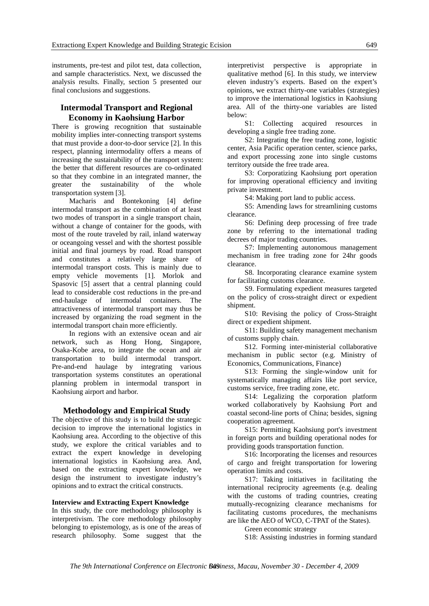instruments, pre-test and pilot test, data collection, and sample characteristics. Next, we discussed the analysis results. Finally, section 5 presented our final conclusions and suggestions.

## **Intermodal Transport and Regional Economy in Kaohsiung Harbor**

There is growing recognition that sustainable mobility implies inter-connecting transport systems that must provide a door-to-door service [2]. In this respect, planning intermodality offers a means of increasing the sustainability of the transport system: the better that different resources are co-ordinated so that they combine in an integrated manner, the greater the sustainability of the whole transportation system [3].

Macharis and Bontekoning [4] define intermodal transport as the combination of at least two modes of transport in a single transport chain, without a change of container for the goods, with most of the route traveled by rail, inland waterway or oceangoing vessel and with the shortest possible initial and final journeys by road. Road transport and constitutes a relatively large share of intermodal transport costs. This is mainly due to empty vehicle movements [1]. Morlok and Spasovic [5] assert that a central planning could lead to considerable cost reductions in the pre-and end-haulage of intermodal containers. The attractiveness of intermodal transport may thus be increased by organizing the road segment in the intermodal transport chain more efficiently.

In regions with an extensive ocean and air network, such as Hong Hong, Singapore, Osaka-Kobe area, to integrate the ocean and air transportation to build intermodal transport. Pre-and-end haulage by integrating various transportation systems constitutes an operational planning problem in intermodal transport in Kaohsiung airport and harbor.

#### **Methodology and Empirical Study**

The objective of this study is to build the strategic decision to improve the international logistics in Kaohsiung area. According to the objective of this study, we explore the critical variables and to extract the expert knowledge in developing international logistics in Kaohsiung area. And, based on the extracting expert knowledge, we design the instrument to investigate industry's opinions and to extract the critical constructs.

#### **Interview and Extracting Expert Knowledge**

In this study, the core methodology philosophy is interpretivism. The core methodology philosophy belonging to epistemology, as is one of the areas of research philosophy. Some suggest that the

interpretivist perspective is appropriate in qualitative method [6]. In this study, we interview eleven industry's experts. Based on the expert's opinions, we extract thirty-one variables (strategies) to improve the international logistics in Kaohsiung area. All of the thirty-one variables are listed below:

S1: Collecting acquired resources in developing a single free trading zone.

S2: Integrating the free trading zone, logistic center, Asia Pacific operation center, science parks, and export processing zone into single customs territory outside the free trade area.

S3: Corporatizing Kaohsiung port operation for improving operational efficiency and inviting private investment.

S4: Making port land to public access.

S5: Amending laws for streamlining customs clearance.

S6: Defining deep processing of free trade zone by referring to the international trading decrees of major trading countries.

S7: Implementing autonomous management mechanism in free trading zone for 24hr goods clearance.

S8. Incorporating clearance examine system for facilitating customs clearance.

S9. Formulating expedient measures targeted on the policy of cross-straight direct or expedient shipment.

S10: Revising the policy of Cross-Straight direct or expedient shipment.

S11: Building safety management mechanism of customs supply chain.

S12. Forming inter-ministerial collaborative mechanism in public sector (e.g. Ministry of Economics, Communications, Finance)

S13: Forming the single-window unit for systematically managing affairs like port service, customs service, free trading zone, etc.

S14: Legalizing the corporation platform worked collaboratively by Kaohsiung Port and coastal second-line ports of China; besides, signing cooperation agreement.

S15: Permitting Kaohsiung port's investment in foreign ports and building operational nodes for providing goods transportation function.

S16: Incorporating the licenses and resources of cargo and freight transportation for lowering operation limits and costs.

S17: Taking initiatives in facilitating the international reciprocity agreements (e.g. dealing with the customs of trading countries, creating mutually-recognizing clearance mechanisms for facilitating customs procedures, the mechanisms are like the AEO of WCO, C-TPAT of the States).

Green economic strategy

S18: Assisting industries in forming standard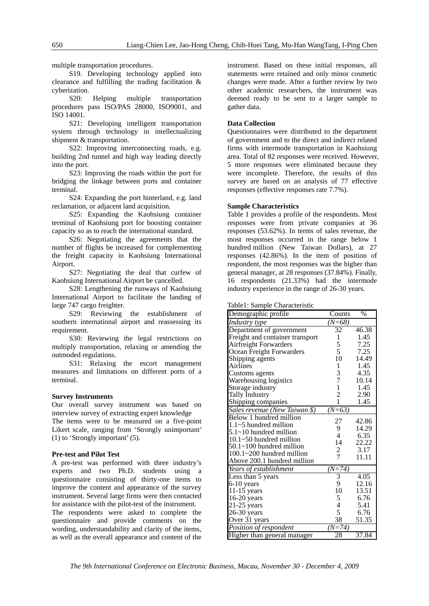multiple transportation procedures.

S19. Developing technology applied into clearance and fulfilling the trading facilitation & cyberization.

S20: Helping multiple transportation procedures pass ISO/PAS 28000, ISO9001, and ISO 14001.

S21: Developing intelligent transportation system through technology in intellectualizing shipment & transportation.

S22: Improving interconnecting roads, e.g. building 2nd tunnel and high way leading directly into the port.

S23: Improving the roads within the port for bridging the linkage between ports and container terminal.

S24: Expanding the port hinterland, e.g. land reclamation, or adjacent land acquisition.

S25: Expanding the Kaohsiung container terminal of Kaohsiung port for boosting container capacity so as to reach the international standard.

S26: Negotiating the agreements that the number of flights be increased for complementing the freight capacity in Kaohsiung International Airport.

S27: Negotiating the deal that curfew of Kaohsiung International Airport be cancelled.

S28: Lengthening the runways of Kaohsiung International Airport to facilitate the landing of large 747 cargo freighter.

S29: Reviewing the establishment of southern international airport and reassessing its requirement.

S30: Reviewing the legal restrictions on multiply transportation, relaxing or amending the outmoded regulations.

S31: Relaxing the escort management measures and limitations on different ports of a terminal.

#### **Survey Instruments**

Our overall survey instrument was based on interview survey of extracting expert knowledge The items were to be measured on a five-point Likert scale, ranging from 'Strongly unimportant' (1) to 'Strongly important' (5).

#### **Pre-test and Pilot Test**

A pre-test was performed with three industry's experts and two Ph.D. students using a questionnaire consisting of thirty-one items to improve the content and appearance of the survey instrument. Several large firms were then contacted for assistance with the pilot-test of the instrument.

The respondents were asked to complete the questionnaire and provide comments on the wording, understandability and clarity of the items, as well as the overall appearance and content of the

instrument. Based on these initial responses, all statements were retained and only minor cosmetic changes were made. After a further review by two other academic researchers, the instrument was deemed ready to be sent to a larger sample to gather data.

#### **Data Collection**

Questionnaires were distributed to the department of government and to the direct and indirect related firms with intermode transportation in Kaohsiung area. Total of 82 responses were received. However, 5 more responses were eliminated because they were incomplete. Therefore, the results of this survey are based on an analysis of 77 effective responses (effective responses rate 7.7%).

#### **Sample Characteristics**

Table 1 provides a profile of the respondents. Most responses were from private companies at 36 responses (53.62%). In terms of sales revenue, the most responses occurred in the range below 1 hundred million (New Taiwan Dollars), at 27 responses (42.86%). In the item of position of respondent, the most responses was the higher than general manager, at 28 responses (37.84%). Finally, 16 respondents (21.33%) had the intermode industry experience in the range of 26-30 years.

Table1: Sample Characteristic

| Demographic profile                | Counts                   | $\%$  |
|------------------------------------|--------------------------|-------|
| Industry type                      | (N=68)                   |       |
| Department of government           | 32                       | 46.38 |
| Freight and container transport    | 1                        | 1.45  |
| Airfreight Forwarders              | 5                        | 7.25  |
| Ocean Freight Forwarders           | 5                        | 7.25  |
| Shipping agents                    | 10                       | 14.49 |
| Airlines                           | 1                        | 1.45  |
| Customs agents                     | 3                        | 4.35  |
| Warehousing logistics              | $\overline{7}$           | 10.14 |
| Storage industry                   | $\mathbf{1}$             | 1.45  |
| <b>Tally Industry</b>              | $\overline{c}$           | 2.90  |
| Shipping companies                 | 1                        | 1.45  |
| Sales revenue (New Taiwan \$)      | $(N=\overline{63})$      |       |
| Below 1 hundred million            | 27                       | 42.86 |
| $1.1 - 5$ hundred million          | 9                        | 14.29 |
| $5.1 \sim 10$ hundred million      | $\overline{\mathcal{L}}$ | 6.35  |
| 10.1~50 hundred million            | 14                       | 22.22 |
| $50.1 \times 100$ hundred million  | $\overline{c}$           | 3.17  |
| $100.1 \times 200$ hundred million | 7                        | 11.11 |
| Above 200.1 hundred million        |                          |       |
| Years of establishment             | $(N=74)$                 |       |
| Less than 5 years                  | $\overline{\mathbf{3}}$  | 4.05  |
| 6-10 years                         | 9                        | 12.16 |
| $11-15$ years                      | 10                       | 13.51 |
| $16-20$ years                      | 5                        | 6.76  |
| $21-25$ years                      | $\overline{\mathcal{L}}$ | 5.41  |
| $26-30$ years                      | 5                        | 6.76  |
| Over 31 years                      | 38                       | 51.35 |
| Position of respondent             | $(N=74)$                 |       |
| Higher than general manager        | 28                       | 37.84 |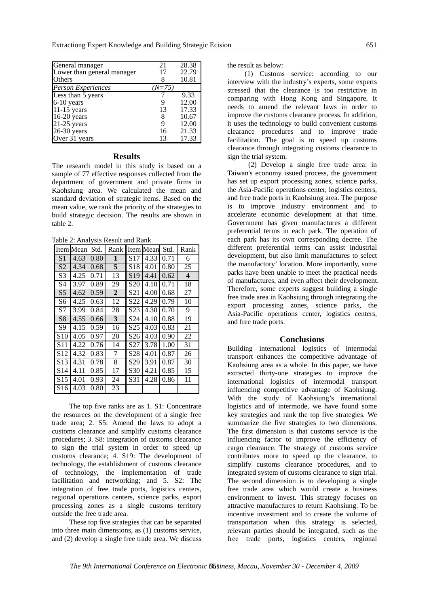| General manager            | 21     | 28.38 |
|----------------------------|--------|-------|
| Lower than general manager | 17     | 22.79 |
| Others                     | x      | 10.81 |
| <b>Person Experiences</b>  | (N=75) |       |
| Less than 5 years          |        | 9.33  |
| $6-10$ years               |        | 12.00 |
| 11-15 years                | 13     | 17.33 |
| $16-20$ years              | 8      | 10.67 |
| $21-25$ years              | 9      | 12.00 |
| 26-30 years                | 16     | 21.33 |
| Over 31 years              | 13     | 17.33 |

#### **Results**

The research model in this study is based on a sample of 77 effective responses collected from the department of government and private firms in Kaohsiung area. We calculated the mean and standard deviation of strategic items. Based on the mean value, we rank the priority of the strategies to build strategic decision. The results are shown in table 2.

Table 2: Analysis Result and Rank

| Item            | Mean | Std. | Rank             |                 | Item Mean | Std. | Rank                    |
|-----------------|------|------|------------------|-----------------|-----------|------|-------------------------|
| S <sub>1</sub>  | 4.63 | 0.80 | 1                | S17             | 4.33      | 0.71 | 6                       |
| S <sub>2</sub>  | 4.34 | 0.68 | 5                | S18             | 4.01      | 0.80 | 25                      |
| S <sub>3</sub>  | 4.25 | 0.71 | 13               | S <sub>19</sub> | 4.41      | 0.62 | $\overline{\mathbf{4}}$ |
| S4              | 3.97 | 0.89 | 29               | S <sub>20</sub> | 4.10      | 0.71 | 18                      |
| S <sub>5</sub>  | 4.62 | 0.59 | $\boldsymbol{2}$ | S <sub>21</sub> | 4.00      | 0.68 | 27                      |
| S6              | 4.25 | 0.63 | 12               | S22             | 4.29      | 0.79 | 10                      |
| S7              | 3.99 | 0.84 | 28               | S23             | 4.30      | 0.70 | 9                       |
| S8              | 4.55 | 0.66 | 3                | S24             | 4.10      | 0.88 | 19                      |
| S9              | 4.15 | 0.59 | 16               | S <sub>25</sub> | 4.03      | 0.83 | 21                      |
| S <sub>10</sub> | 4.05 | 0.97 | 20               | S <sub>26</sub> | 4.03      | 0.90 | 22                      |
| S11             | 4.22 | 0.76 | 14               | S27             | 3.78      | 1.00 | 31                      |
| S <sub>12</sub> | 4.32 | 0.83 | 7                | S28             | 4.01      | 0.87 | 26                      |
| S <sub>13</sub> | 4.31 | 0.78 | 8                | S <sub>29</sub> | 3.91      | 0.87 | 30                      |
| S14             | 4.11 | 0.85 | 17               | S30             | 4.21      | 0.85 | 15                      |
| S15             | 4.01 | 0.93 | 24               | S31             | 4.28      | 0.86 | 11                      |
| S16             | 4.03 | 0.80 | 23               |                 |           |      |                         |

The top five ranks are as 1. S1: Concentrate the resources on the development of a single free trade area; 2. S5: Amend the laws to adopt a customs clearance and simplify customs clearance procedures; 3. S8: Integration of customs clearance to sign the trial system in order to speed up customs clearance; 4. S19: The development of technology, the establishment of customs clearance of technology, the implementation of trade facilitation and networking; and 5. S2: The integration of free trade ports, logistics centers, regional operations centers, science parks, export processing zones as a single customs territory outside the free trade area.

These top five strategies that can be separated into three main dimensions, as (1) customs service, and (2) develop a single free trade area. We discuss the result as below:

(1) Customs service: according to our interview with the industry's experts, some experts stressed that the clearance is too restrictive in comparing with Hong Kong and Singapore. It needs to amend the relevant laws in order to improve the customs clearance process. In addition, it uses the technology to build convenient customs clearance procedures and to improve trade facilitation. The goal is to speed up customs clearance through integrating customs clearance to sign the trial system.

 (2) Develop a single free trade area: in Taiwan's economy issued process, the government has set up export processing zones, science parks, the Asia-Pacific operations center, logistics centers, and free trade ports in Kaohsiung area. The purpose is to improve industry environment and to accelerate economic development at that time. Government has given manufactures a different preferential terms in each park. The operation of each park has its own corresponding decree. The different preferential terms can assist industrial development, but also limit manufactures to select the manufactory' location. More importantly, some parks have been unable to meet the practical needs of manufactures, and even affect their development. Therefore, some experts suggest building a single free trade area in Kaohsiung through integrating the export processing zones, science parks, the Asia-Pacific operations center, logistics centers, and free trade ports.

#### **Conclusions**

Building international logistics of intermodal transport enhances the competitive advantage of Kaohsiung area as a whole. In this paper, we have extracted thirty-one strategies to improve the international logistics of intermodal transport influencing competitive advantage of Kaohsiung. With the study of Kaohsiung's international logistics and of intermode, we have found some key strategies and rank the top five strategies. We summarize the five strategies to two dimensions. The first dimension is that customs service is the influencing factor to improve the efficiency of cargo clearance. The strategy of customs service contributes more to speed up the clearance, to simplify customs clearance procedures, and to integrated system of customs clearance to sign trial. The second dimension is to developing a single free trade area which would create a business environment to invest. This strategy focuses on attractive manufactures to return Kaohsiung. To be incentive investment and to create the volume of transportation when this strategy is selected, relevant parties should be integrated, such as the free trade ports, logistics centers, regional